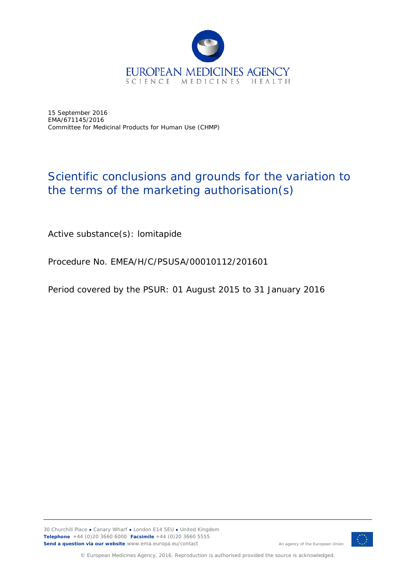

15 September 2016 EMA/671145/2016 Committee for Medicinal Products for Human Use (CHMP)

## Scientific conclusions and grounds for the variation to the terms of the marketing authorisation(s)

Active substance(s): lomitapide

Procedure No. EMEA/H/C/PSUSA/00010112/201601

Period covered by the PSUR: 01 August 2015 to 31 January 2016



An agency of the European Union

© European Medicines Agency, 2016. Reproduction is authorised provided the source is acknowledged.